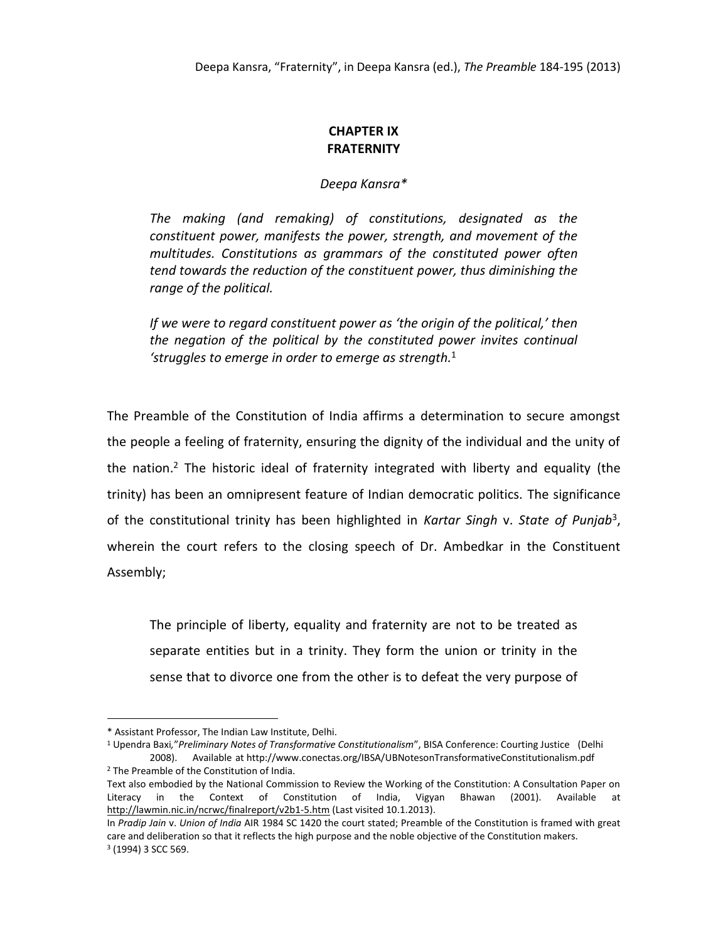## **CHAPTER IX FRATERNITY**

*Deepa Kansra\**

*The making (and remaking) of constitutions, designated as the constituent power, manifests the power, strength, and movement of the multitudes. Constitutions as grammars of the constituted power often tend towards the reduction of the constituent power, thus diminishing the range of the political.* 

*If we were to regard constituent power as 'the origin of the political,' then the negation of the political by the constituted power invites continual 'struggles to emerge in order to emerge as strength.* 1

The Preamble of the Constitution of India affirms a determination to secure amongst the people a feeling of fraternity, ensuring the dignity of the individual and the unity of the nation.<sup>2</sup> The historic ideal of fraternity integrated with liberty and equality (the trinity) has been an omnipresent feature of Indian democratic politics. The significance of the constitutional trinity has been highlighted in *Kartar Singh* v. *State of Punjab*<sup>3</sup> , wherein the court refers to the closing speech of Dr. Ambedkar in the Constituent Assembly;

The principle of liberty, equality and fraternity are not to be treated as separate entities but in a trinity. They form the union or trinity in the sense that to divorce one from the other is to defeat the very purpose of

<sup>\*</sup> Assistant Professor, The Indian Law Institute, Delhi.

<sup>1</sup> Upendra Baxi*,*"*Preliminary Notes of Transformative Constitutionalism*", BISA Conference: Courting Justice (Delhi 2008). Available at http://www.conectas.org/IBSA/UBNotesonTransformativeConstitutionalism.pdf <sup>2</sup> The Preamble of the Constitution of India.

Text also embodied by the National Commission to Review the Working of the Constitution: A Consultation Paper on Literacy in the Context of Constitution of India, Vigyan Bhawan (2001). Available at <http://lawmin.nic.in/ncrwc/finalreport/v2b1-5.htm> (Last visited 10.1.2013).

In *Pradip Jain* v. *Union of India* AIR 1984 SC 1420 the court stated; Preamble of the Constitution is framed with great care and deliberation so that it reflects the high purpose and the noble objective of the Constitution makers. <sup>3</sup> (1994) 3 SCC 569.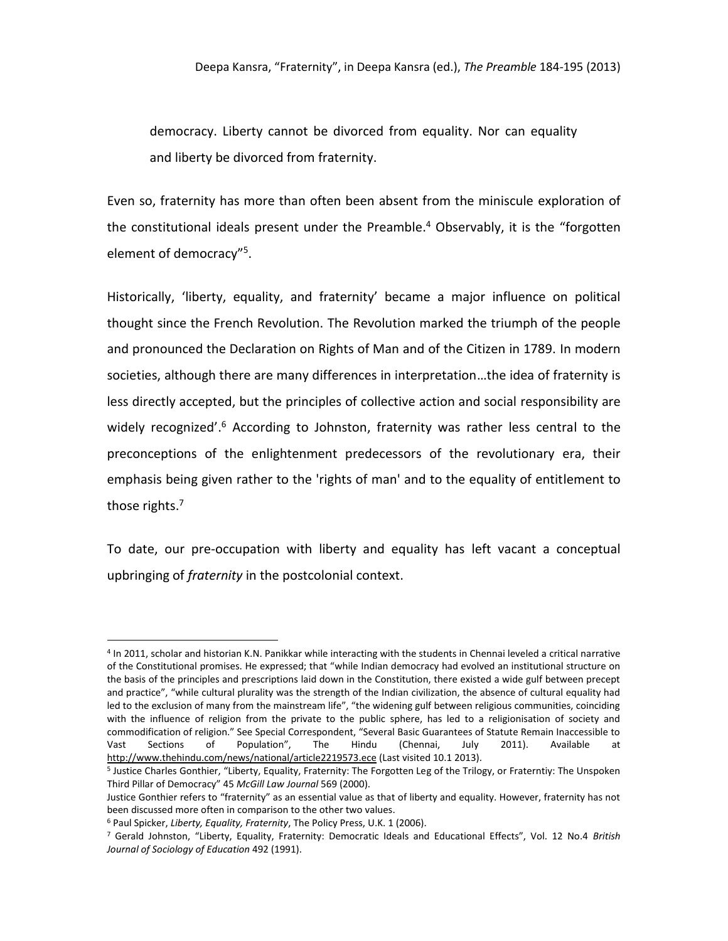democracy. Liberty cannot be divorced from equality. Nor can equality and liberty be divorced from fraternity.

Even so, fraternity has more than often been absent from the miniscule exploration of the constitutional ideals present under the Preamble. <sup>4</sup> Observably, it is the "forgotten element of democracy"<sup>5</sup>.

Historically, 'liberty, equality, and fraternity' became a major influence on political thought since the French Revolution. The Revolution marked the triumph of the people and pronounced the Declaration on Rights of Man and of the Citizen in 1789. In modern societies, although there are many differences in interpretation…the idea of fraternity is less directly accepted, but the principles of collective action and social responsibility are widely recognized'.<sup>6</sup> According to Johnston, fraternity was rather less central to the preconceptions of the enlightenment predecessors of the revolutionary era, their emphasis being given rather to the 'rights of man' and to the equality of entitlement to those rights.<sup>7</sup>

To date, our pre-occupation with liberty and equality has left vacant a conceptual upbringing of *fraternity* in the postcolonial context.

<sup>4</sup> In 2011, scholar and historian K.N. Panikkar while interacting with the students in Chennai leveled a critical narrative of the Constitutional promises. He expressed; that "while Indian democracy had evolved an institutional structure on the basis of the principles and prescriptions laid down in the Constitution, there existed a wide gulf between precept and practice", "while cultural plurality was the strength of the Indian civilization, the absence of cultural equality had led to the exclusion of many from the mainstream life", "the widening gulf between religious communities, coinciding with the influence of religion from the private to the public sphere, has led to a religionisation of society and commodification of religion." See Special Correspondent, "Several Basic Guarantees of Statute Remain Inaccessible to<br>Vast Sections of Population", The Hindu (Chennai, July 2011). Available at Vast Sections of Population", The Hindu (Chennai, July 2011). Available at <http://www.thehindu.com/news/national/article2219573.ece> (Last visited 10.1 2013).

<sup>5</sup> Justice Charles Gonthier, "Liberty, Equality, Fraternity: The Forgotten Leg of the Trilogy, or Fraterntiy: The Unspoken Third Pillar of Democracy" 45 *McGill Law Journal* 569 (2000).

Justice Gonthier refers to "fraternity" as an essential value as that of liberty and equality. However, fraternity has not been discussed more often in comparison to the other two values.

<sup>6</sup> Paul Spicker, *Liberty, Equality, Fraternity*, The Policy Press, U.K. 1 (2006).

<sup>7</sup> Gerald Johnston, "Liberty, Equality, Fraternity: Democratic Ideals and Educational Effects", Vol. 12 No.4 *British Journal of Sociology of Education* 492 (1991).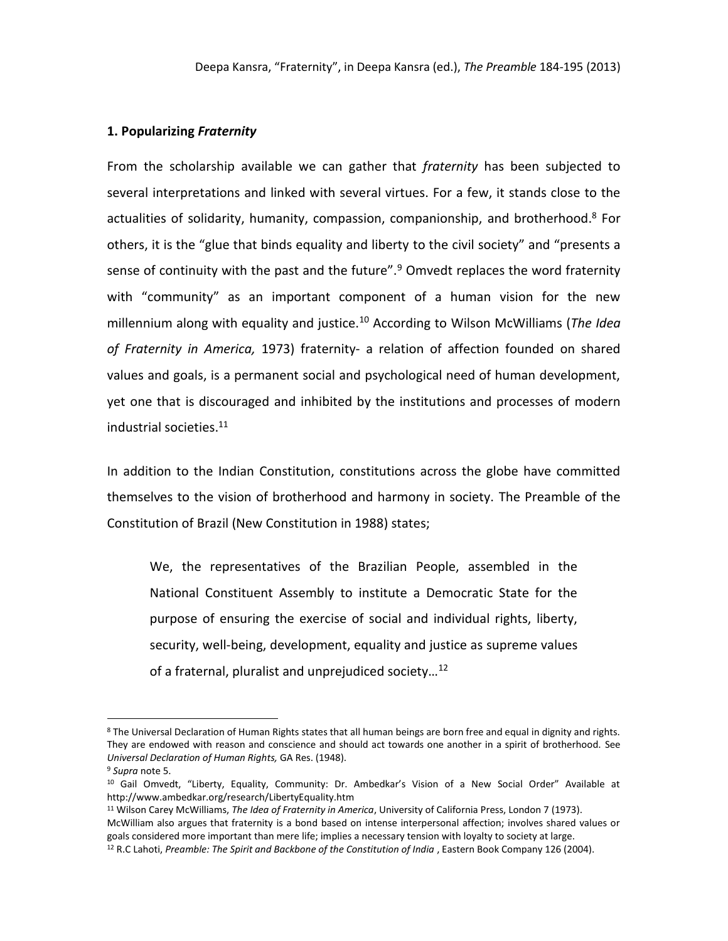## **1. Popularizing** *Fraternity*

From the scholarship available we can gather that *fraternity* has been subjected to several interpretations and linked with several virtues. For a few, it stands close to the actualities of solidarity, humanity, compassion, companionship, and brotherhood.<sup>8</sup> For others, it is the "glue that binds equality and liberty to the civil society" and "presents a sense of continuity with the past and the future". $9$  Omvedt replaces the word fraternity with "community" as an important component of a human vision for the new millennium along with equality and justice.<sup>10</sup> According to Wilson McWilliams (*The Idea of Fraternity in America,* 1973) fraternity- a relation of affection founded on shared values and goals, is a permanent social and psychological need of human development, yet one that is discouraged and inhibited by the institutions and processes of modern industrial societies.<sup>11</sup>

In addition to the Indian Constitution, constitutions across the globe have committed themselves to the vision of brotherhood and harmony in society. The Preamble of the Constitution of Brazil (New Constitution in 1988) states;

We, the representatives of the Brazilian People, assembled in the National Constituent Assembly to institute a Democratic State for the purpose of ensuring the exercise of social and individual rights, liberty, security, well-being, development, equality and justice as supreme values of a fraternal, pluralist and unprejudiced society…<sup>12</sup>

<sup>&</sup>lt;sup>8</sup> The Universal Declaration of Human Rights states that all human beings are born free and equal in dignity and rights. They are endowed with reason and conscience and should act towards one another in a spirit of brotherhood. See *Universal Declaration of Human Rights,* GA Res. (1948).

<sup>9</sup> *Supra* note 5.

<sup>10</sup> Gail Omvedt, "Liberty, Equality, Community: Dr. Ambedkar's Vision of a New Social Order" Available at http://www.ambedkar.org/research/LibertyEquality.htm

<sup>11</sup> Wilson Carey McWilliams, *The Idea of Fraternity in America*, University of California Press, London 7 (1973). McWilliam also argues that fraternity is a bond based on intense interpersonal affection; involves shared values or goals considered more important than mere life; implies a necessary tension with loyalty to society at large.

<sup>12</sup> R.C Lahoti, *Preamble: The Spirit and Backbone of the Constitution of India* , Eastern Book Company 126 (2004).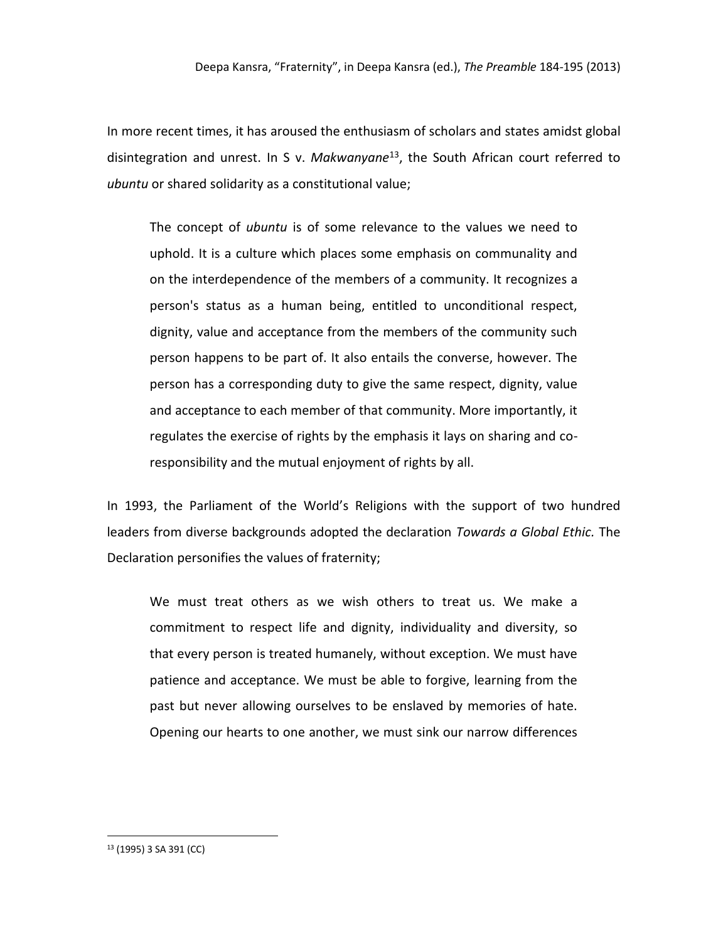In more recent times, it has aroused the enthusiasm of scholars and states amidst global disintegration and unrest. In S v. *Makwanyane*<sup>13</sup>, the South African court referred to *ubuntu* or shared solidarity as a constitutional value;

The concept of *ubuntu* is of some relevance to the values we need to uphold. It is a culture which places some emphasis on communality and on the interdependence of the members of a community. It recognizes a person's status as a human being, entitled to unconditional respect, dignity, value and acceptance from the members of the community such person happens to be part of. It also entails the converse, however. The person has a corresponding duty to give the same respect, dignity, value and acceptance to each member of that community. More importantly, it regulates the exercise of rights by the emphasis it lays on sharing and coresponsibility and the mutual enjoyment of rights by all.

In 1993, the Parliament of the World's Religions with the support of two hundred leaders from diverse backgrounds adopted the declaration *Towards a Global Ethic.* The Declaration personifies the values of fraternity;

We must treat others as we wish others to treat us. We make a commitment to respect life and dignity, individuality and diversity, so that every person is treated humanely, without exception. We must have patience and acceptance. We must be able to forgive, learning from the past but never allowing ourselves to be enslaved by memories of hate. Opening our hearts to one another, we must sink our narrow differences

<sup>13</sup> (1995) 3 SA 391 (CC)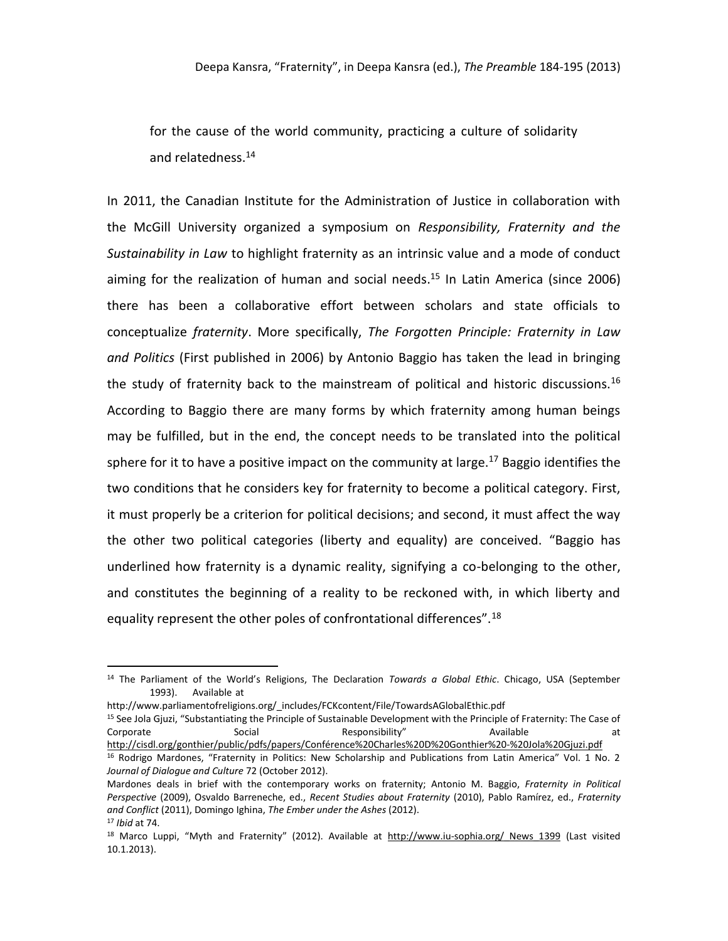for the cause of the world community, practicing a culture of solidarity and relatedness.<sup>14</sup>

In 2011, the Canadian Institute for the Administration of Justice in collaboration with the McGill University organized a symposium on *Responsibility, Fraternity and the Sustainability in Law* to highlight fraternity as an intrinsic value and a mode of conduct aiming for the realization of human and social needs. <sup>15</sup> In Latin America (since 2006) there has been a collaborative effort between scholars and state officials to conceptualize *fraternity*. More specifically, *The Forgotten Principle: Fraternity in Law and Politics* (First published in 2006) by Antonio Baggio has taken the lead in bringing the study of fraternity back to the mainstream of political and historic discussions.<sup>16</sup> According to Baggio there are many forms by which fraternity among human beings may be fulfilled, but in the end, the concept needs to be translated into the political sphere for it to have a positive impact on the community at large.<sup>17</sup> Baggio identifies the two conditions that he considers key for fraternity to become a political category. First, it must properly be a criterion for political decisions; and second, it must affect the way the other two political categories (liberty and equality) are conceived. "Baggio has underlined how fraternity is a dynamic reality, signifying a co-belonging to the other, and constitutes the beginning of a reality to be reckoned with, in which liberty and equality represent the other poles of confrontational differences".<sup>18</sup>

http://www.parliamentofreligions.org/\_includes/FCKcontent/File/TowardsAGlobalEthic.pdf

<sup>15</sup> See Jola Gjuzi, "Substantiating the Principle of Sustainable Development with the Principle of Fraternity: The Case of Corporate Social Responsibility" Available at at <http://cisdl.org/gonthier/public/pdfs/papers/Conférence%20Charles%20D%20Gonthier%20-%20Jola%20Gjuzi.pdf>

<sup>14</sup> The Parliament of the World's Religions, The Declaration *Towards a Global Ethic*. Chicago, USA (September 1993). Available at

<sup>&</sup>lt;sup>16</sup> Rodrigo Mardones, "Fraternity in Politics: New Scholarship and Publications from Latin America" Vol. 1 No. 2 *Journal of Dialogue and Culture* 72 (October 2012).

Mardones deals in brief with the contemporary works on fraternity; Antonio M. Baggio, *Fraternity in Political Perspective* (2009), Osvaldo Barreneche, ed., *Recent Studies about Fraternity* (2010), Pablo Ramírez, ed., *Fraternity and Conflict* (2011), Domingo Ighina, *The Ember under the Ashes* (2012).

<sup>17</sup> *Ibid* at 74.

<sup>&</sup>lt;sup>18</sup> Marco Luppi, "Myth and Fraternity" (2012). Available at http://www.iu-sophia.org/ News 1399 (Last visited 10.1.2013).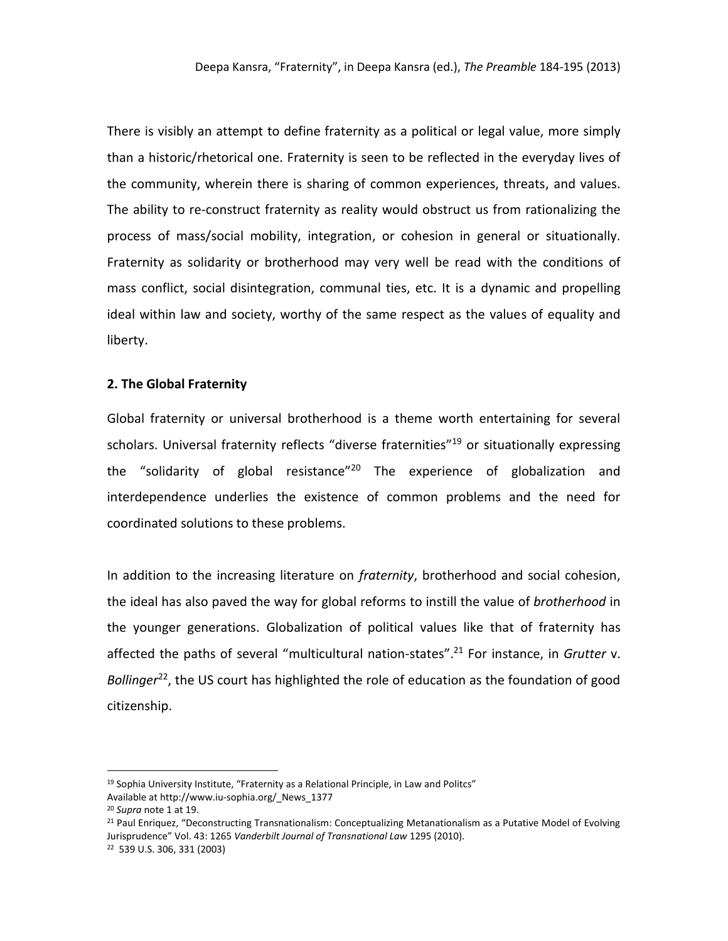There is visibly an attempt to define fraternity as a political or legal value, more simply than a historic/rhetorical one. Fraternity is seen to be reflected in the everyday lives of the community, wherein there is sharing of common experiences, threats, and values. The ability to re-construct fraternity as reality would obstruct us from rationalizing the process of mass/social mobility, integration, or cohesion in general or situationally. Fraternity as solidarity or brotherhood may very well be read with the conditions of mass conflict, social disintegration, communal ties, etc. It is a dynamic and propelling ideal within law and society, worthy of the same respect as the values of equality and liberty.

## **2. The Global Fraternity**

Global fraternity or universal brotherhood is a theme worth entertaining for several scholars. Universal fraternity reflects "diverse fraternities"<sup>19</sup> or situationally expressing the "solidarity of global resistance"<sup>20</sup> The experience of globalization and interdependence underlies the existence of common problems and the need for coordinated solutions to these problems.

In addition to the increasing literature on *fraternity*, brotherhood and social cohesion, the ideal has also paved the way for global reforms to instill the value of *brotherhood* in the younger generations. Globalization of political values like that of fraternity has affected the paths of several "multicultural nation-states". <sup>21</sup> For instance, in *Grutter* v. Bollinger<sup>22</sup>, the US court has highlighted the role of education as the foundation of good citizenship.

<sup>&</sup>lt;sup>19</sup> Sophia University Institute, "Fraternity as a Relational Principle, in Law and Politcs" Available at http://www.iu-sophia.org/\_News\_1377

<sup>20</sup> *Supra* note 1 at 19.

<sup>&</sup>lt;sup>21</sup> Paul Enriquez, "Deconstructing Transnationalism: Conceptualizing Metanationalism as a Putative Model of Evolving Jurisprudence" Vol. 43: 1265 *Vanderbilt Journal of Transnational Law* 1295 (2010).

<sup>22</sup> 539 U.S. 306, 331 (2003)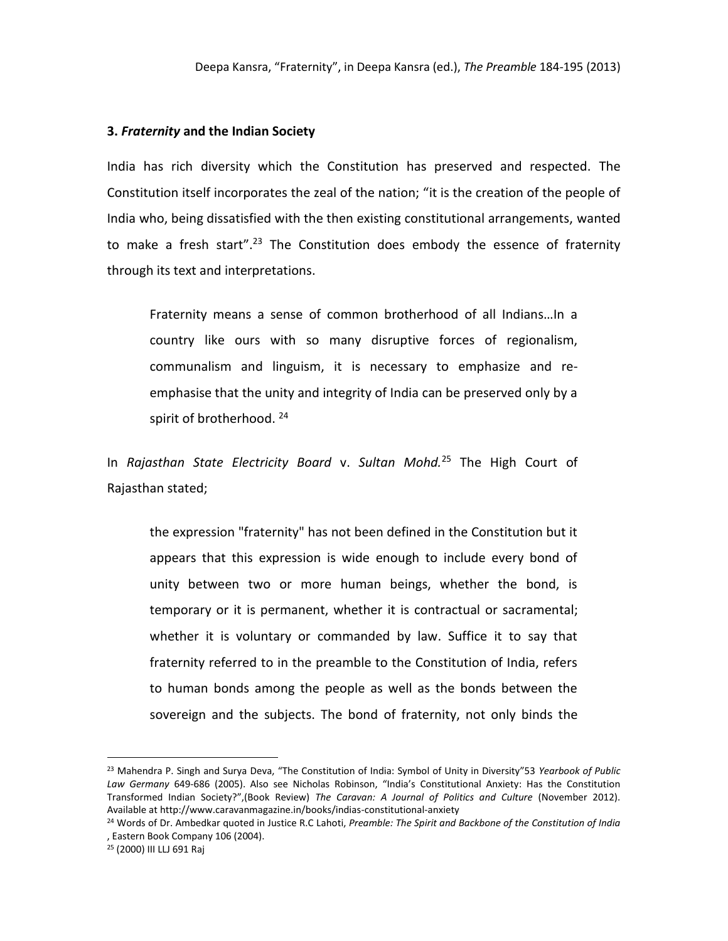## **3.** *Fraternity* **and the Indian Society**

India has rich diversity which the Constitution has preserved and respected. The Constitution itself incorporates the zeal of the nation; "it is the creation of the people of India who, being dissatisfied with the then existing constitutional arrangements, wanted to make a fresh start".<sup>23</sup> The Constitution does embody the essence of fraternity through its text and interpretations.

Fraternity means a sense of common brotherhood of all Indians…In a country like ours with so many disruptive forces of regionalism, communalism and linguism, it is necessary to emphasize and reemphasise that the unity and integrity of India can be preserved only by a spirit of brotherhood.<sup>24</sup>

In *Rajasthan State Electricity Board* v. *Sultan Mohd.*<sup>25</sup> The High Court of Rajasthan stated;

the expression "fraternity" has not been defined in the Constitution but it appears that this expression is wide enough to include every bond of unity between two or more human beings, whether the bond, is temporary or it is permanent, whether it is contractual or sacramental; whether it is voluntary or commanded by law. Suffice it to say that fraternity referred to in the preamble to the Constitution of India, refers to human bonds among the people as well as the bonds between the sovereign and the subjects. The bond of fraternity, not only binds the

<sup>23</sup> Mahendra P. Singh and Surya Deva, "The Constitution of India: Symbol of Unity in Diversity"53 *Yearbook of Public Law Germany* 649-686 (2005). Also see Nicholas Robinson, "India's Constitutional Anxiety: Has the Constitution Transformed Indian Society?",(Book Review) *The Caravan: A Journal of Politics and Culture* (November 2012). Available at http://www.caravanmagazine.in/books/indias-constitutional-anxiety

<sup>24</sup> Words of Dr. Ambedkar quoted in Justice R.C Lahoti, *Preamble: The Spirit and Backbone of the Constitution of India* , Eastern Book Company 106 (2004).

<sup>25</sup> (2000) III LLJ 691 Raj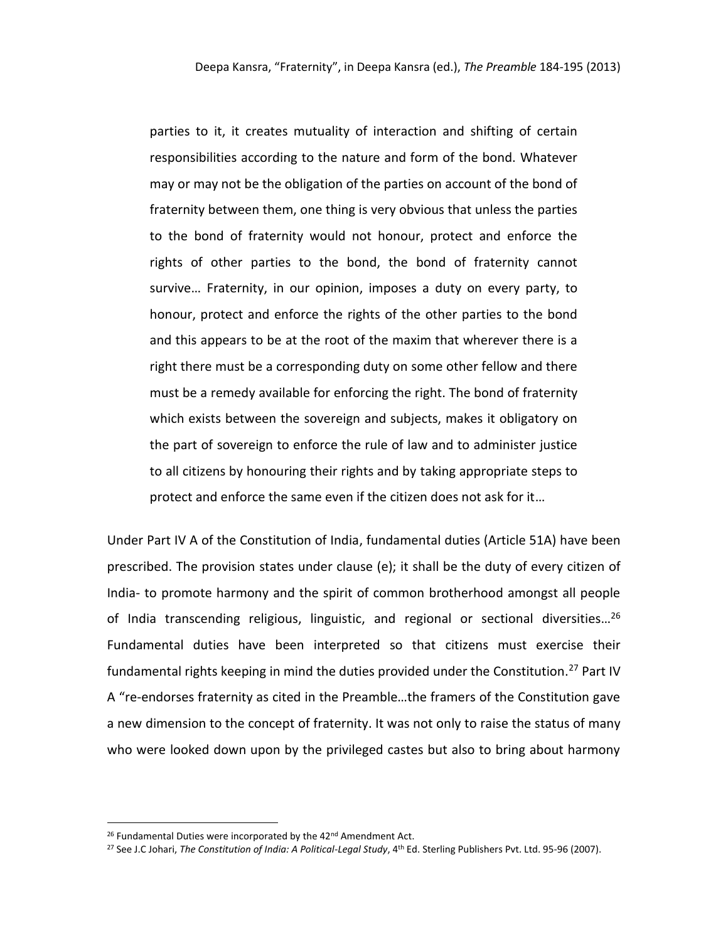parties to it, it creates mutuality of interaction and shifting of certain responsibilities according to the nature and form of the bond. Whatever may or may not be the obligation of the parties on account of the bond of fraternity between them, one thing is very obvious that unless the parties to the bond of fraternity would not honour, protect and enforce the rights of other parties to the bond, the bond of fraternity cannot survive… Fraternity, in our opinion, imposes a duty on every party, to honour, protect and enforce the rights of the other parties to the bond and this appears to be at the root of the maxim that wherever there is a right there must be a corresponding duty on some other fellow and there must be a remedy available for enforcing the right. The bond of fraternity which exists between the sovereign and subjects, makes it obligatory on the part of sovereign to enforce the rule of law and to administer justice to all citizens by honouring their rights and by taking appropriate steps to protect and enforce the same even if the citizen does not ask for it…

Under Part IV A of the Constitution of India, fundamental duties (Article 51A) have been prescribed. The provision states under clause (e); it shall be the duty of every citizen of India- to promote harmony and the spirit of common brotherhood amongst all people of India transcending religious, linguistic, and regional or sectional diversities…<sup>26</sup> Fundamental duties have been interpreted so that citizens must exercise their fundamental rights keeping in mind the duties provided under the Constitution.<sup>27</sup> Part IV A "re-endorses fraternity as cited in the Preamble…the framers of the Constitution gave a new dimension to the concept of fraternity. It was not only to raise the status of many who were looked down upon by the privileged castes but also to bring about harmony

<sup>26</sup> Fundamental Duties were incorporated by the 42<sup>nd</sup> Amendment Act.

<sup>27</sup> See J.C Johari, *The Constitution of India: A Political-Legal Study*, 4th Ed. Sterling Publishers Pvt. Ltd. 95-96 (2007).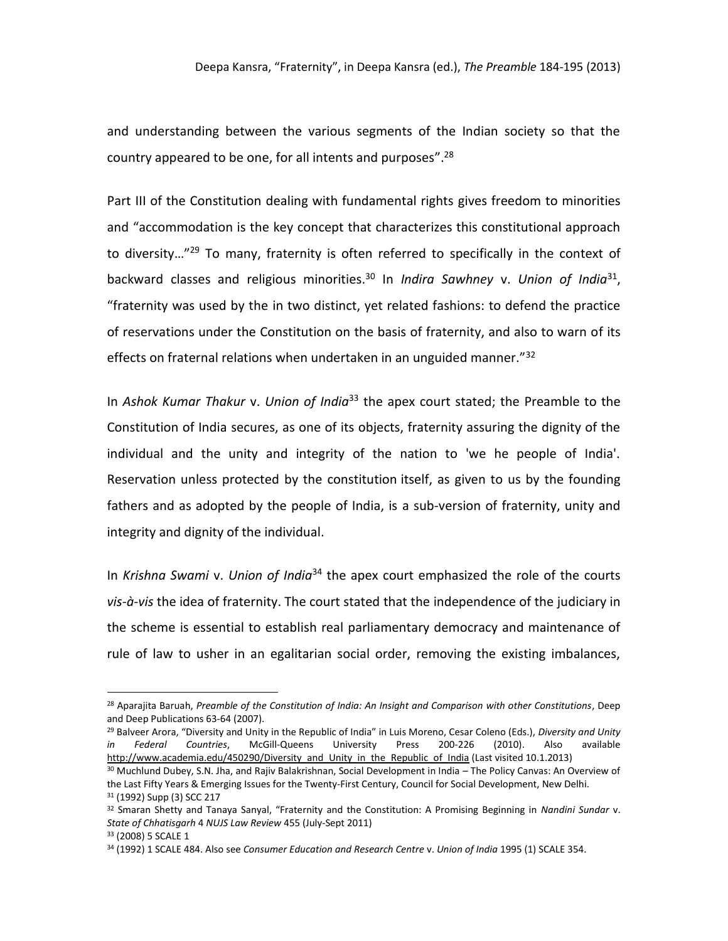and understanding between the various segments of the Indian society so that the country appeared to be one, for all intents and purposes".<sup>28</sup>

Part III of the Constitution dealing with fundamental rights gives freedom to minorities and "accommodation is the key concept that characterizes this constitutional approach to diversity...<sup>"29</sup> To many, fraternity is often referred to specifically in the context of backward classes and religious minorities.<sup>30</sup> In *Indira Sawhney* v. *Union of India*<sup>31</sup> , "fraternity was used by the in two distinct, yet related fashions: to defend the practice of reservations under the Constitution on the basis of fraternity, and also to warn of its effects on fraternal relations when undertaken in an unguided manner."<sup>32</sup>

In *Ashok Kumar Thakur* v. *Union of India*<sup>33</sup> the apex court stated; the Preamble to the Constitution of India secures, as one of its objects, fraternity assuring the dignity of the individual and the unity and integrity of the nation to 'we he people of India'. Reservation unless protected by the constitution itself, as given to us by the founding fathers and as adopted by the people of India, is a sub-version of fraternity, unity and integrity and dignity of the individual.

In *Krishna Swami* v. *Union of India*<sup>34</sup> the apex court emphasized the role of the courts *vis-à-vis* the idea of fraternity. The court stated that the independence of the judiciary in the scheme is essential to establish real parliamentary democracy and maintenance of rule of law to usher in an egalitarian social order, removing the existing imbalances,

<sup>28</sup> Aparajita Baruah, *Preamble of the Constitution of India: An Insight and Comparison with other Constitutions*, Deep and Deep Publications 63-64 (2007).

<sup>29</sup> Balveer Arora, "Diversity and Unity in the Republic of India" in Luis Moreno, Cesar Coleno (Eds.), *Diversity and Unity in Federal Countries*, McGill-Queens University Press 200-226 (2010). Also available [http://www.academia.edu/450290/Diversity\\_and\\_Unity\\_in\\_the\\_Republic\\_of\\_India](http://www.academia.edu/450290/Diversity_and_Unity_in_the_Republic_of_India) (Last visited 10.1.2013)

<sup>&</sup>lt;sup>30</sup> Muchlund Dubey, S.N. Jha, and Rajiv Balakrishnan, Social Development in India – The Policy Canvas: An Overview of the Last Fifty Years & Emerging Issues for the Twenty-First Century, Council for Social Development, New Delhi. <sup>31</sup> (1992) Supp (3) SCC 217

<sup>32</sup> Smaran Shetty and Tanaya Sanyal, "Fraternity and the Constitution: A Promising Beginning in *Nandini Sundar* v. *State of Chhatisgarh* 4 *NUJS Law Review* 455 (July-Sept 2011)

<sup>33</sup> (2008) 5 SCALE 1

<sup>34</sup> (1992) 1 SCALE 484. Also see *Consumer Education and Research Centre* v. *Union of India* 1995 (1) SCALE 354.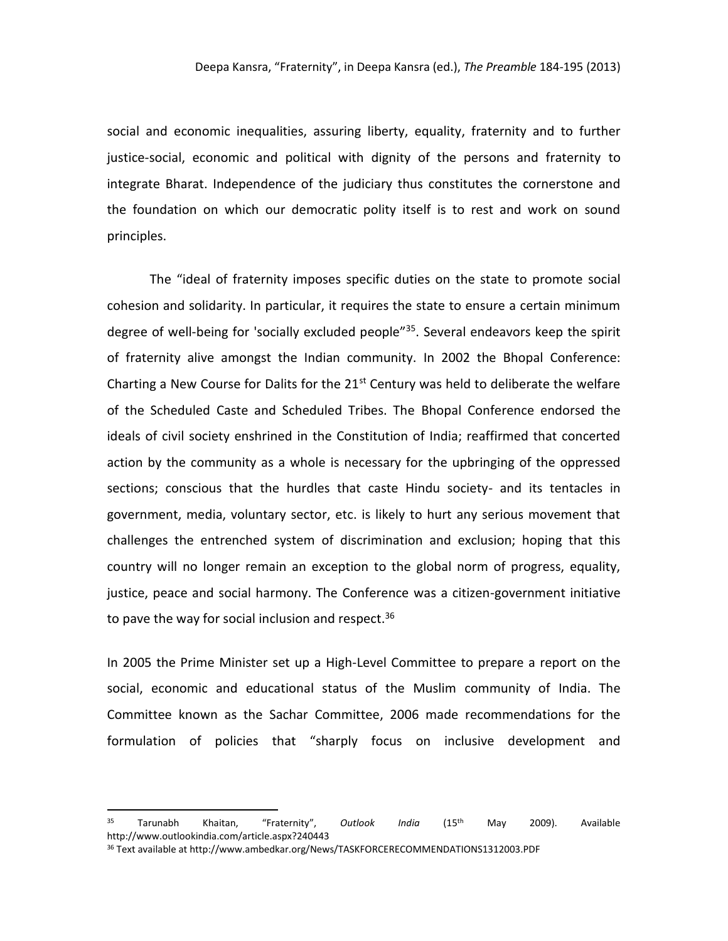social and economic inequalities, assuring liberty, equality, fraternity and to further justice-social, economic and political with dignity of the persons and fraternity to integrate Bharat. Independence of the judiciary thus constitutes the cornerstone and the foundation on which our democratic polity itself is to rest and work on sound principles.

The "ideal of fraternity imposes specific duties on the state to promote social cohesion and solidarity. In particular, it requires the state to ensure a certain minimum degree of well-being for 'socially excluded people<sup>"35</sup>. Several endeavors keep the spirit of fraternity alive amongst the Indian community. In 2002 the Bhopal Conference: Charting a New Course for Dalits for the  $21<sup>st</sup>$  Century was held to deliberate the welfare of the Scheduled Caste and Scheduled Tribes. The Bhopal Conference endorsed the ideals of civil society enshrined in the Constitution of India; reaffirmed that concerted action by the community as a whole is necessary for the upbringing of the oppressed sections; conscious that the hurdles that caste Hindu society- and its tentacles in government, media, voluntary sector, etc. is likely to hurt any serious movement that challenges the entrenched system of discrimination and exclusion; hoping that this country will no longer remain an exception to the global norm of progress, equality, justice, peace and social harmony. The Conference was a citizen-government initiative to pave the way for social inclusion and respect.<sup>36</sup>

In 2005 the Prime Minister set up a High-Level Committee to prepare a report on the social, economic and educational status of the Muslim community of India. The Committee known as the Sachar Committee, 2006 made recommendations for the formulation of policies that "sharply focus on inclusive development and

<sup>35</sup> Tarunabh Khaitan, "Fraternity", *Outlook India* (15th May 2009). Available http://www.outlookindia.com/article.aspx?240443

<sup>36</sup> Text available at http://www.ambedkar.org/News/TASKFORCERECOMMENDATIONS1312003.PDF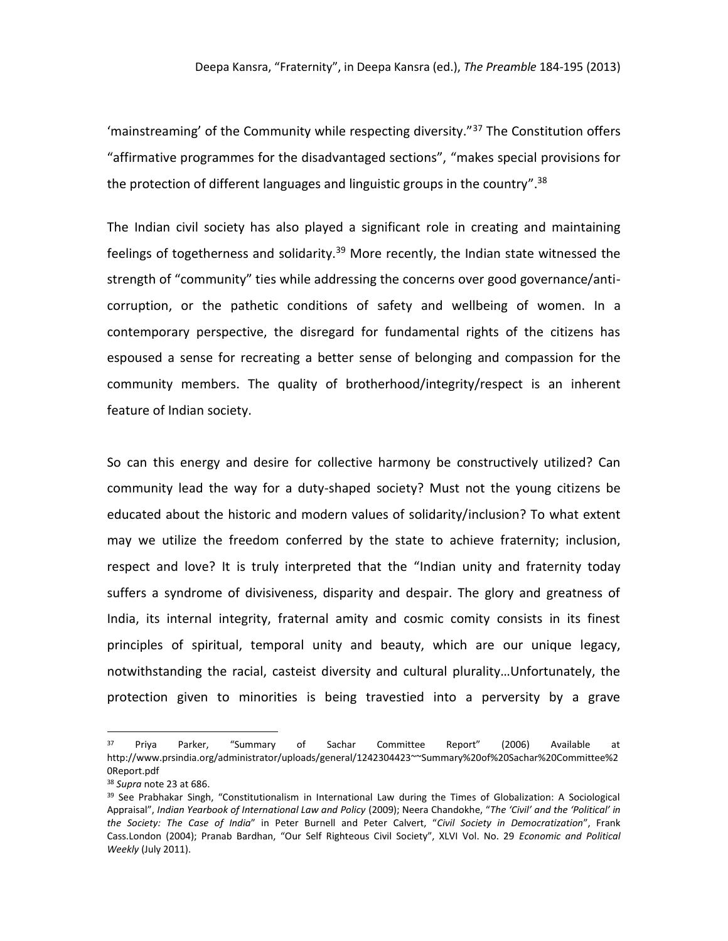'mainstreaming' of the Community while respecting diversity."<sup>37</sup> The Constitution offers "affirmative programmes for the disadvantaged sections", "makes special provisions for the protection of different languages and linguistic groups in the country".<sup>38</sup>

The Indian civil society has also played a significant role in creating and maintaining feelings of togetherness and solidarity.<sup>39</sup> More recently, the Indian state witnessed the strength of "community" ties while addressing the concerns over good governance/anticorruption, or the pathetic conditions of safety and wellbeing of women. In a contemporary perspective, the disregard for fundamental rights of the citizens has espoused a sense for recreating a better sense of belonging and compassion for the community members. The quality of brotherhood/integrity/respect is an inherent feature of Indian society.

So can this energy and desire for collective harmony be constructively utilized? Can community lead the way for a duty-shaped society? Must not the young citizens be educated about the historic and modern values of solidarity/inclusion? To what extent may we utilize the freedom conferred by the state to achieve fraternity; inclusion, respect and love? It is truly interpreted that the "Indian unity and fraternity today suffers a syndrome of divisiveness, disparity and despair. The glory and greatness of India, its internal integrity, fraternal amity and cosmic comity consists in its finest principles of spiritual, temporal unity and beauty, which are our unique legacy, notwithstanding the racial, casteist diversity and cultural plurality…Unfortunately, the protection given to minorities is being travestied into a perversity by a grave

<sup>&</sup>lt;sup>37</sup> Priya Parker, "Summary of Sachar Committee Report" (2006) Available at http://www.prsindia.org/administrator/uploads/general/1242304423~~Summary%20of%20Sachar%20Committee%2 0Report.pdf

<sup>38</sup> *Supra* note 23 at 686.

<sup>&</sup>lt;sup>39</sup> See Prabhakar Singh, "Constitutionalism in International Law during the Times of Globalization: A Sociological Appraisal", *Indian Yearbook of International Law and Policy* (2009); Neera Chandokhe, "*The 'Civil' and the 'Political' in the Society: The Case of India*" in Peter Burnell and Peter Calvert, "*Civil Society in Democratization*", Frank Cass.London (2004); Pranab Bardhan, "Our Self Righteous Civil Society", XLVI Vol. No. 29 *Economic and Political Weekly* (July 2011).